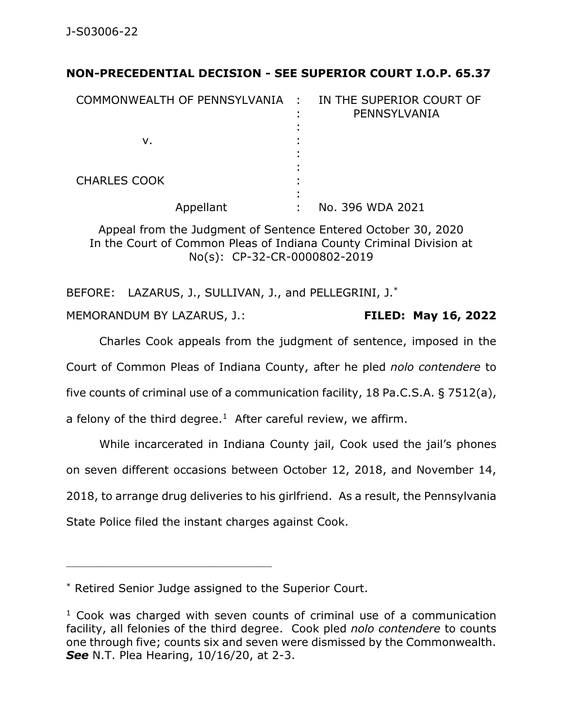## **NON-PRECEDENTIAL DECISION - SEE SUPERIOR COURT I.O.P. 65.37**

| COMMONWEALTH OF PENNSYLVANIA : |   | IN THE SUPERIOR COURT OF<br>PENNSYLVANIA |
|--------------------------------|---|------------------------------------------|
| v.                             | ٠ |                                          |
| <b>CHARLES COOK</b>            |   |                                          |
| Appellant                      |   | No. 396 WDA 2021                         |

Appeal from the Judgment of Sentence Entered October 30, 2020 In the Court of Common Pleas of Indiana County Criminal Division at No(s): CP-32-CR-0000802-2019

BEFORE: LAZARUS, J., SULLIVAN, J., and PELLEGRINI, J.\* MEMORANDUM BY LAZARUS, J.: **FILED: May 16, 2022**

Charles Cook appeals from the judgment of sentence, imposed in the Court of Common Pleas of Indiana County, after he pled *nolo contendere* to five counts of criminal use of a communication facility, 18 Pa.C.S.A. § 7512(a), a felony of the third degree. $1$  After careful review, we affirm.

While incarcerated in Indiana County jail, Cook used the jail's phones on seven different occasions between October 12, 2018, and November 14, 2018, to arrange drug deliveries to his girlfriend. As a result, the Pennsylvania State Police filed the instant charges against Cook.

\_\_\_\_\_\_\_\_\_\_\_\_\_\_\_\_\_\_\_\_\_\_\_\_\_\_\_\_\_\_\_\_\_\_\_\_\_\_\_\_\_\_\_\_

<sup>\*</sup> Retired Senior Judge assigned to the Superior Court.

 $1$  Cook was charged with seven counts of criminal use of a communication facility, all felonies of the third degree. Cook pled *nolo contendere* to counts one through five; counts six and seven were dismissed by the Commonwealth. *See* N.T. Plea Hearing, 10/16/20, at 2-3.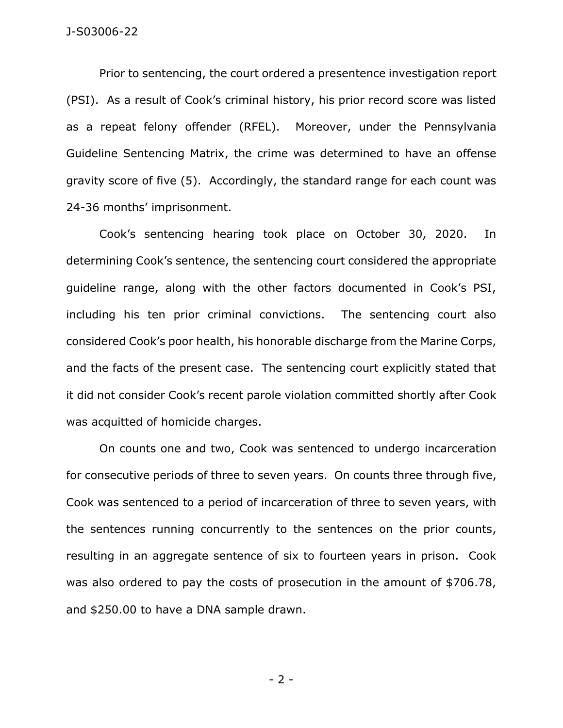Prior to sentencing, the court ordered a presentence investigation report (PSI). As a result of Cook's criminal history, his prior record score was listed as a repeat felony offender (RFEL). Moreover, under the Pennsylvania Guideline Sentencing Matrix, the crime was determined to have an offense gravity score of five (5). Accordingly, the standard range for each count was 24-36 months' imprisonment.

Cook's sentencing hearing took place on October 30, 2020. In determining Cook's sentence, the sentencing court considered the appropriate guideline range, along with the other factors documented in Cook's PSI, including his ten prior criminal convictions. The sentencing court also considered Cook's poor health, his honorable discharge from the Marine Corps, and the facts of the present case. The sentencing court explicitly stated that it did not consider Cook's recent parole violation committed shortly after Cook was acquitted of homicide charges.

On counts one and two, Cook was sentenced to undergo incarceration for consecutive periods of three to seven years. On counts three through five, Cook was sentenced to a period of incarceration of three to seven years, with the sentences running concurrently to the sentences on the prior counts, resulting in an aggregate sentence of six to fourteen years in prison. Cook was also ordered to pay the costs of prosecution in the amount of \$706.78, and \$250.00 to have a DNA sample drawn.

- 2 -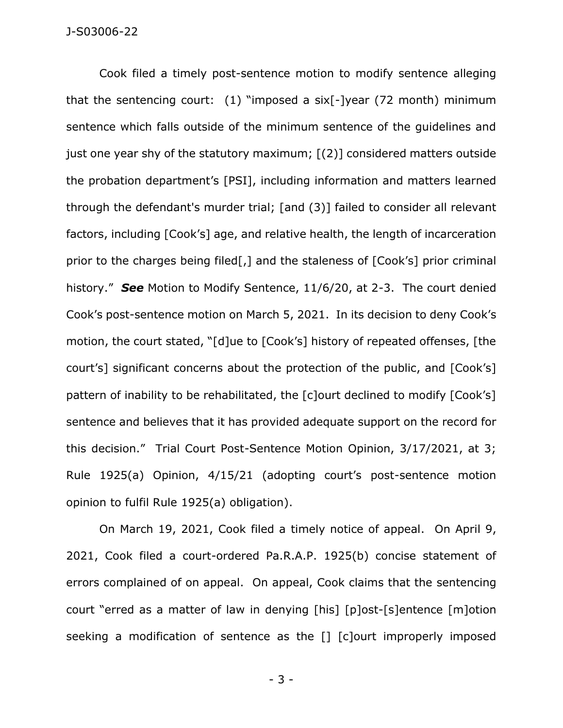Cook filed a timely post-sentence motion to modify sentence alleging that the sentencing court: (1) "imposed a six[-]year (72 month) minimum sentence which falls outside of the minimum sentence of the guidelines and just one year shy of the statutory maximum; [(2)] considered matters outside the probation department's [PSI], including information and matters learned through the defendant's murder trial; [and (3)] failed to consider all relevant factors, including [Cook's] age, and relative health, the length of incarceration prior to the charges being filed[,] and the staleness of [Cook's] prior criminal history." *See* Motion to Modify Sentence, 11/6/20, at 2-3. The court denied Cook's post-sentence motion on March 5, 2021. In its decision to deny Cook's motion, the court stated, "[d]ue to [Cook's] history of repeated offenses, [the court's] significant concerns about the protection of the public, and [Cook's] pattern of inability to be rehabilitated, the [c]ourt declined to modify [Cook's] sentence and believes that it has provided adequate support on the record for this decision." Trial Court Post-Sentence Motion Opinion, 3/17/2021, at 3; Rule 1925(a) Opinion, 4/15/21 (adopting court's post-sentence motion opinion to fulfil Rule 1925(a) obligation).

On March 19, 2021, Cook filed a timely notice of appeal. On April 9, 2021, Cook filed a court-ordered Pa.R.A.P. 1925(b) concise statement of errors complained of on appeal. On appeal, Cook claims that the sentencing court "erred as a matter of law in denying [his] [p]ost-[s]entence [m]otion seeking a modification of sentence as the [] [c]ourt improperly imposed

- 3 -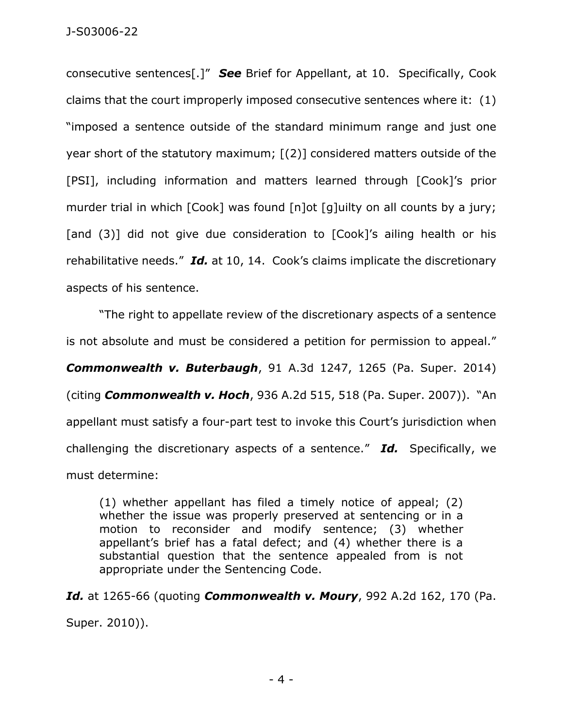consecutive sentences[.]" *See* Brief for Appellant, at 10. Specifically, Cook claims that the court improperly imposed consecutive sentences where it: (1) "imposed a sentence outside of the standard minimum range and just one year short of the statutory maximum; [(2)] considered matters outside of the [PSI], including information and matters learned through [Cook]'s prior murder trial in which [Cook] was found [n]ot [q]uilty on all counts by a jury; [and (3)] did not give due consideration to [Cook]'s ailing health or his rehabilitative needs." *Id.* at 10, 14. Cook's claims implicate the discretionary aspects of his sentence.

"The right to appellate review of the discretionary aspects of a sentence is not absolute and must be considered a petition for permission to appeal." *Commonwealth v. Buterbaugh*, 91 A.3d 1247, 1265 (Pa. Super. 2014) (citing *Commonwealth v. Hoch*, 936 A.2d 515, 518 (Pa. Super. 2007)). "An appellant must satisfy a four-part test to invoke this Court's jurisdiction when challenging the discretionary aspects of a sentence." *Id.* Specifically, we must determine:

(1) whether appellant has filed a timely notice of appeal; (2) whether the issue was properly preserved at sentencing or in a motion to reconsider and modify sentence; (3) whether appellant's brief has a fatal defect; and (4) whether there is a substantial question that the sentence appealed from is not appropriate under the Sentencing Code.

*Id.* at 1265-66 (quoting *Commonwealth v. Moury*, 992 A.2d 162, 170 (Pa. Super. 2010)).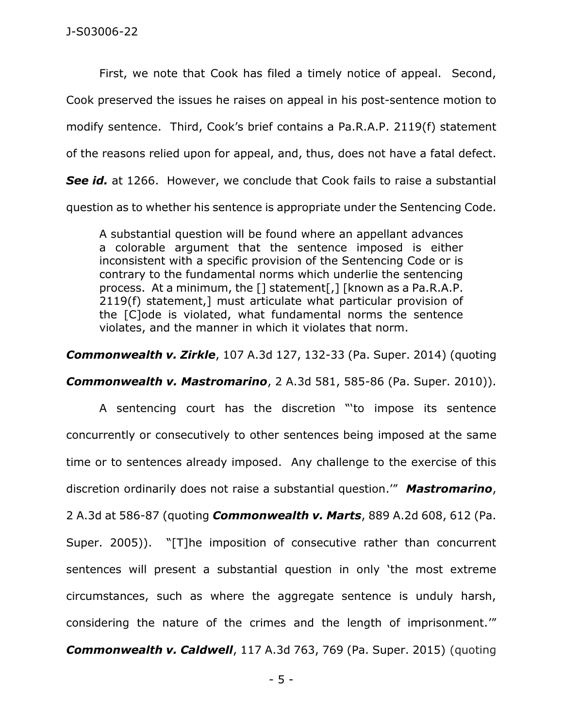First, we note that Cook has filed a timely notice of appeal. Second, Cook preserved the issues he raises on appeal in his post-sentence motion to modify sentence. Third, Cook's brief contains a Pa.R.A.P. 2119(f) statement of the reasons relied upon for appeal, and, thus, does not have a fatal defect. **See** *id.* at 1266. However, we conclude that Cook fails to raise a substantial question as to whether his sentence is appropriate under the Sentencing Code.

A substantial question will be found where an appellant advances a colorable argument that the sentence imposed is either inconsistent with a specific provision of the Sentencing Code or is contrary to the fundamental norms which underlie the sentencing process. At a minimum, the [] statement[,] [known as a Pa.R.A.P. 2119(f) statement,] must articulate what particular provision of the [C]ode is violated, what fundamental norms the sentence violates, and the manner in which it violates that norm.

*Commonwealth v. Zirkle*, 107 A.3d 127, 132-33 (Pa. Super. 2014) (quoting

*Commonwealth v. Mastromarino*, 2 A.3d 581, 585-86 (Pa. Super. 2010)).

A sentencing court has the discretion "'to impose its sentence concurrently or consecutively to other sentences being imposed at the same time or to sentences already imposed. Any challenge to the exercise of this discretion ordinarily does not raise a substantial question.'" *Mastromarino*, 2 A.3d at 586-87 (quoting *Commonwealth v. Marts*, 889 A.2d 608, 612 (Pa. Super. 2005)). "[T]he imposition of consecutive rather than concurrent sentences will present a substantial question in only 'the most extreme circumstances, such as where the aggregate sentence is unduly harsh, considering the nature of the crimes and the length of imprisonment.'" *Commonwealth v. Caldwell*, 117 A.3d 763, 769 (Pa. Super. 2015) (quoting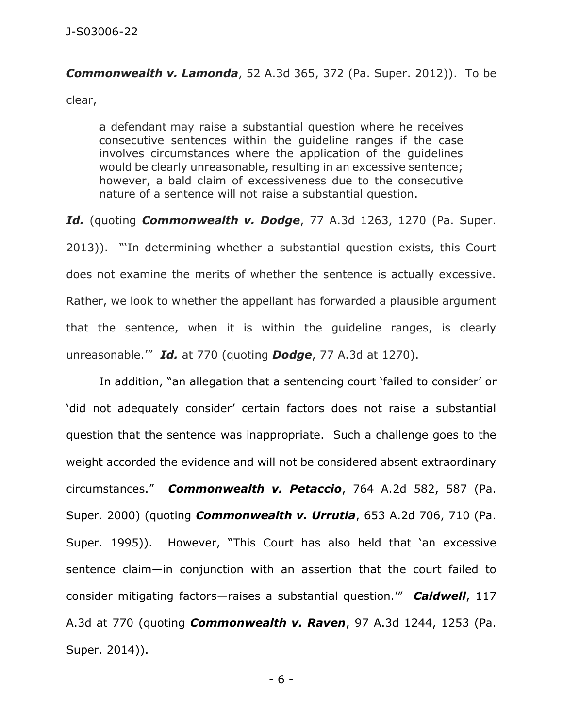## *Commonwealth v. Lamonda*, 52 A.3d 365, 372 (Pa. Super. 2012)). To be

clear,

a defendant may raise a substantial question where he receives consecutive sentences within the guideline ranges if the case involves circumstances where the application of the guidelines would be clearly unreasonable, resulting in an excessive sentence; however, a bald claim of excessiveness due to the consecutive nature of a sentence will not raise a substantial question.

*Id.* (quoting *Commonwealth v. Dodge*, 77 A.3d 1263, 1270 (Pa. Super. 2013)). "'In determining whether a substantial question exists, this Court does not examine the merits of whether the sentence is actually excessive. Rather, we look to whether the appellant has forwarded a plausible argument that the sentence, when it is within the guideline ranges, is clearly unreasonable.'" *Id.* at 770 (quoting *Dodge*, 77 A.3d at 1270).

In addition, "an allegation that a sentencing court 'failed to consider' or 'did not adequately consider' certain factors does not raise a substantial question that the sentence was inappropriate. Such a challenge goes to the weight accorded the evidence and will not be considered absent extraordinary circumstances." *Commonwealth v. Petaccio*, 764 A.2d 582, 587 (Pa. Super. 2000) (quoting *Commonwealth v. Urrutia*, 653 A.2d 706, 710 (Pa. Super. 1995)). However, "This Court has also held that 'an excessive sentence claim—in conjunction with an assertion that the court failed to consider mitigating factors—raises a substantial question.'" *Caldwell*, 117 A.3d at 770 (quoting *Commonwealth v. Raven*, 97 A.3d 1244, 1253 (Pa. Super. 2014)).

- 6 -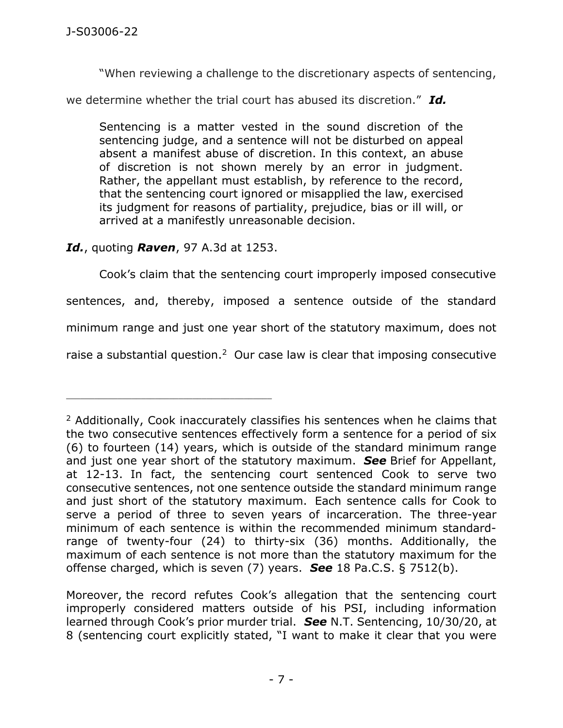"When reviewing a challenge to the discretionary aspects of sentencing,

we determine whether the trial court has abused its discretion." *Id.*

Sentencing is a matter vested in the sound discretion of the sentencing judge, and a sentence will not be disturbed on appeal absent a manifest abuse of discretion. In this context, an abuse of discretion is not shown merely by an error in judgment. Rather, the appellant must establish, by reference to the record, that the sentencing court ignored or misapplied the law, exercised its judgment for reasons of partiality, prejudice, bias or ill will, or arrived at a manifestly unreasonable decision.

## *Id.*, quoting *Raven*, 97 A.3d at 1253.

\_\_\_\_\_\_\_\_\_\_\_\_\_\_\_\_\_\_\_\_\_\_\_\_\_\_\_\_\_\_\_\_\_\_\_\_\_\_\_\_\_\_\_\_

Cook's claim that the sentencing court improperly imposed consecutive sentences, and, thereby, imposed a sentence outside of the standard minimum range and just one year short of the statutory maximum, does not raise a substantial question. $2$  Our case law is clear that imposing consecutive

<sup>&</sup>lt;sup>2</sup> Additionally, Cook inaccurately classifies his sentences when he claims that the two consecutive sentences effectively form a sentence for a period of six (6) to fourteen (14) years, which is outside of the standard minimum range and just one year short of the statutory maximum. *See* Brief for Appellant, at 12-13. In fact, the sentencing court sentenced Cook to serve two consecutive sentences, not one sentence outside the standard minimum range and just short of the statutory maximum. Each sentence calls for Cook to serve a period of three to seven years of incarceration. The three-year minimum of each sentence is within the recommended minimum standardrange of twenty-four (24) to thirty-six (36) months. Additionally, the maximum of each sentence is not more than the statutory maximum for the offense charged, which is seven (7) years. *See* 18 Pa.C.S. § 7512(b).

Moreover, the record refutes Cook's allegation that the sentencing court improperly considered matters outside of his PSI, including information learned through Cook's prior murder trial. *See* N.T. Sentencing, 10/30/20, at 8 (sentencing court explicitly stated, "I want to make it clear that you were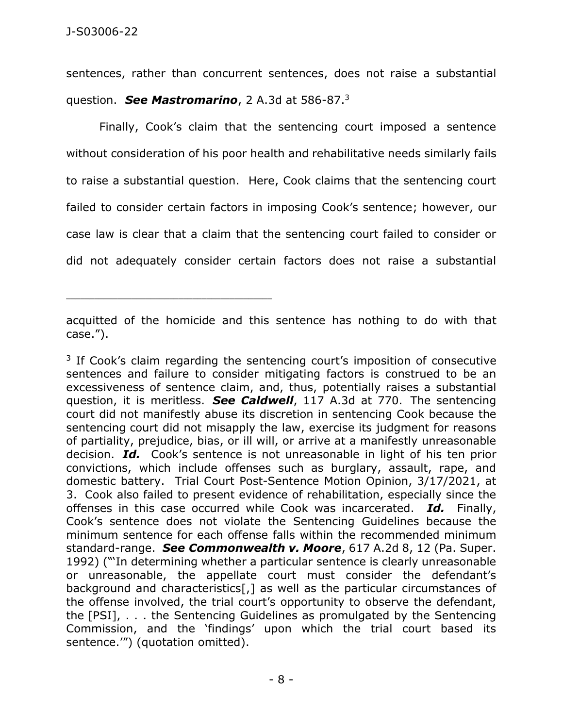\_\_\_\_\_\_\_\_\_\_\_\_\_\_\_\_\_\_\_\_\_\_\_\_\_\_\_\_\_\_\_\_\_\_\_\_\_\_\_\_\_\_\_\_

sentences, rather than concurrent sentences, does not raise a substantial question. *See Mastromarino*, 2 A.3d at 586-87.<sup>3</sup>

Finally, Cook's claim that the sentencing court imposed a sentence without consideration of his poor health and rehabilitative needs similarly fails to raise a substantial question. Here, Cook claims that the sentencing court failed to consider certain factors in imposing Cook's sentence; however, our case law is clear that a claim that the sentencing court failed to consider or did not adequately consider certain factors does not raise a substantial

<sup>3</sup> If Cook's claim regarding the sentencing court's imposition of consecutive sentences and failure to consider mitigating factors is construed to be an excessiveness of sentence claim, and, thus, potentially raises a substantial question, it is meritless. *See Caldwell*, 117 A.3d at 770. The sentencing court did not manifestly abuse its discretion in sentencing Cook because the sentencing court did not misapply the law, exercise its judgment for reasons of partiality, prejudice, bias, or ill will, or arrive at a manifestly unreasonable decision. *Id.* Cook's sentence is not unreasonable in light of his ten prior convictions, which include offenses such as burglary, assault, rape, and domestic battery. Trial Court Post-Sentence Motion Opinion, 3/17/2021, at 3. Cook also failed to present evidence of rehabilitation, especially since the offenses in this case occurred while Cook was incarcerated. *Id.* Finally, Cook's sentence does not violate the Sentencing Guidelines because the minimum sentence for each offense falls within the recommended minimum standard-range. *See Commonwealth v. Moore*, 617 A.2d 8, 12 (Pa. Super. 1992) ("'In determining whether a particular sentence is clearly unreasonable or unreasonable, the appellate court must consider the defendant's background and characteristics[,] as well as the particular circumstances of the offense involved, the trial court's opportunity to observe the defendant, the [PSI], . . . the Sentencing Guidelines as promulgated by the Sentencing Commission, and the 'findings' upon which the trial court based its sentence.'") (quotation omitted).

acquitted of the homicide and this sentence has nothing to do with that case.").